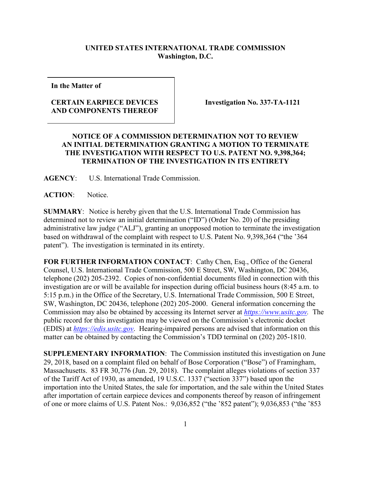## **UNITED STATES INTERNATIONAL TRADE COMMISSION Washington, D.C.**

**In the Matter of**

## **CERTAIN EARPIECE DEVICES AND COMPONENTS THEREOF**

**Investigation No. 337-TA-1121**

## **NOTICE OF A COMMISSION DETERMINATION NOT TO REVIEW AN INITIAL DETERMINATION GRANTING A MOTION TO TERMINATE THE INVESTIGATION WITH RESPECT TO U.S. PATENT NO. 9,398,364; TERMINATION OF THE INVESTIGATION IN ITS ENTIRETY**

**AGENCY**: U.S. International Trade Commission.

**ACTION**: Notice.

**SUMMARY**: Notice is hereby given that the U.S. International Trade Commission has determined not to review an initial determination ("ID") (Order No. 20) of the presiding administrative law judge ("ALJ"), granting an unopposed motion to terminate the investigation based on withdrawal of the complaint with respect to U.S. Patent No. 9,398,364 ("the '364 patent"). The investigation is terminated in its entirety.

FOR FURTHER INFORMATION CONTACT: Cathy Chen, Esq., Office of the General Counsel, U.S. International Trade Commission, 500 E Street, SW, Washington, DC 20436, telephone (202) 205-2392. Copies of non-confidential documents filed in connection with this investigation are or will be available for inspection during official business hours (8:45 a.m. to 5:15 p.m.) in the Office of the Secretary, U.S. International Trade Commission, 500 E Street, SW, Washington, DC 20436, telephone (202) 205-2000. General information concerning the Commission may also be obtained by accessing its Internet server at *[https://www.usitc.gov.](https://www.usitc.gov/)* The public record for this investigation may be viewed on the Commission's electronic docket (EDIS) at *[https://edis.usitc.gov](https://edis.usitc.gov/)*. Hearing-impaired persons are advised that information on this matter can be obtained by contacting the Commission's TDD terminal on (202) 205-1810.

**SUPPLEMENTARY INFORMATION**: The Commission instituted this investigation on June 29, 2018, based on a complaint filed on behalf of Bose Corporation ("Bose") of Framingham, Massachusetts. 83 FR 30,776 (Jun. 29, 2018). The complaint alleges violations of section 337 of the Tariff Act of 1930, as amended, 19 U.S.C. 1337 ("section 337") based upon the importation into the United States, the sale for importation, and the sale within the United States after importation of certain earpiece devices and components thereof by reason of infringement of one or more claims of U.S. Patent Nos.: 9,036,852 ("the '852 patent"); 9,036,853 ("the '853